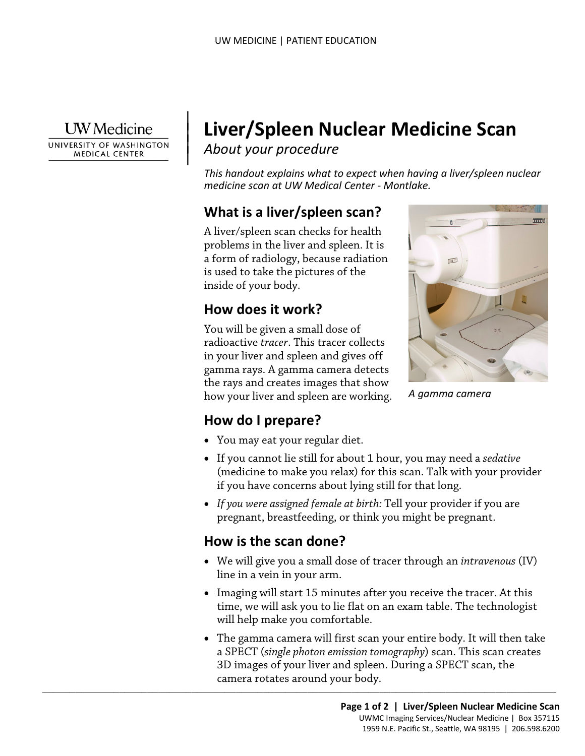

 $\parallel$  $\vert$  $\vert$ 

UNIVERSITY OF WASHINGTON **MEDICAL CENTER** 

# **Liver/Spleen Nuclear Medicine Scan**

*About your procedure*

*This handout explains what to expect when having a liver/spleen nuclear medicine scan at UW Medical Center - Montlake.* 

# **What is a liver/spleen scan?**

A liver/spleen scan checks for health problems in the liver and spleen. It is a form of radiology, because radiation is used to take the pictures of the inside of your body.

# **How does it work?**

You will be given a small dose of radioactive *tracer*. This tracer collects in your liver and spleen and gives off gamma rays. A gamma camera detects the rays and creates images that show how your liver and spleen are working.



*A gamma camera* 

## **How do I prepare?**

- You may eat your regular diet.
- If you cannot lie still for about 1 hour, you may need a *sedative* (medicine to make you relax) for this scan. Talk with your provider if you have concerns about lying still for that long.
- *If you were assigned female at birth:* Tell your provider if you are pregnant, breastfeeding, or think you might be pregnant.

## **How is the scan done?**

- We will give you a small dose of tracer through an *intravenous* (IV) line in a vein in your arm.
- Imaging will start 15 minutes after you receive the tracer. At this time, we will ask you to lie flat on an exam table. The technologist will help make you comfortable.
- $\_$  ,  $\_$  ,  $\_$  ,  $\_$  ,  $\_$  ,  $\_$  ,  $\_$  ,  $\_$  ,  $\_$  ,  $\_$  ,  $\_$  ,  $\_$  ,  $\_$  ,  $\_$  ,  $\_$  ,  $\_$  ,  $\_$  ,  $\_$  ,  $\_$  ,  $\_$  ,  $\_$  ,  $\_$  ,  $\_$  ,  $\_$  ,  $\_$  ,  $\_$  ,  $\_$  ,  $\_$  ,  $\_$  ,  $\_$  ,  $\_$  ,  $\_$  ,  $\_$  ,  $\_$  ,  $\_$  ,  $\_$  ,  $\_$  , • The gamma camera will first scan your entire body. It will then take a SPECT (*single photon emission tomography*) scan. This scan creates 3D images of your liver and spleen. During a SPECT scan, the camera rotates around your body.